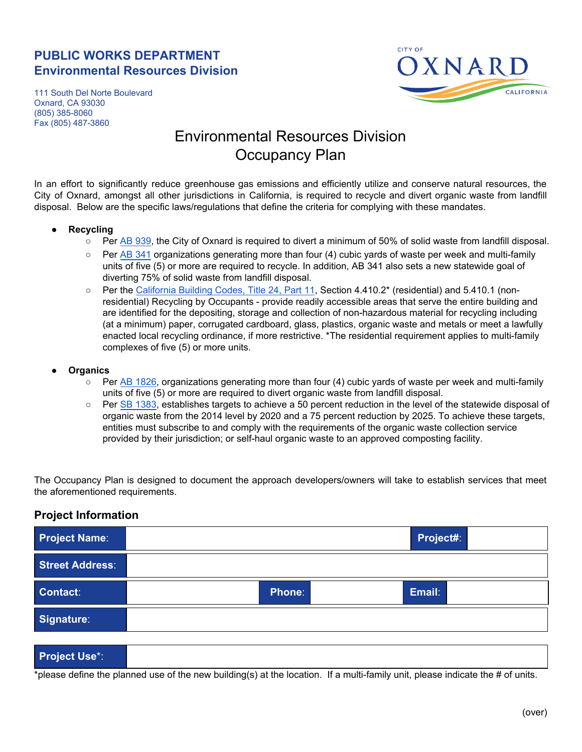## **PUBLIC WORKS DEPARTMENT Environmental Resources Division**



111 South Del Norte Boulevard Oxnard, CA 93030 (805) 385-8060 Fax (805) 487-3860

# Environmental Resources Division Occupancy Plan

In an effort to significantly reduce greenhouse gas emissions and efficiently utilize and conserve natural resources, the City of Oxnard, amongst all other jurisdictions in California, is required to recycle and divert organic waste from landfill disposal. Below are the specific laws/regulations that define the criteria for complying with these mandates.

#### **● Recycling**

- Per [AB 939](https://www.calrecycle.ca.gov/laws/legislation/calhist/1985to1989), the City of Oxnard is required to divert a minimum of 50% of solid waste from landfill disposal.
- Per [AB 341](https://www.calrecycle.ca.gov/recycle/commercial) organizations generating more than four (4) cubic vards of waste per week and multi-family units of five (5) or more are required to recycle. In addition, AB 341 also sets a new statewide goal of diverting 75% of solid waste from landfill disposal.
- Per the [California Building Codes, Title 24, Part 11](https://www.dgs.ca.gov/BSC/Resources/Page-Content/Building-Standards-Commission-Resources-List-Folder/CALGreen) , Section 4.410.2\* (residential) and 5.410.1 (nonresidential) Recycling by Occupants - provide readily accessible areas that serve the entire building and are identified for the depositing, storage and collection of non-hazardous material for recycling including (at a minimum) paper, corrugated cardboard, glass, plastics, organic waste and metals or meet a lawfully enacted local recycling ordinance, if more restrictive. \*The residential requirement applies to multi-family complexes of five (5) or more units.
- **● Organics**
	- Per AB 1826, organizations generating more than four (4) cubic yards of waste per week and multi-family units of five (5) or more are required to divert organic waste from landfill disposal.
	- Per SB 1383, establishes targets to achieve a 50 percent reduction in the level of the statewide disposal of organic waste from the 2014 level by 2020 and a 75 percent reduction by 2025. To achieve these targets, entities must subscribe to and comply with the requirements of the organic waste collection service provided by their jurisdiction; or self-haul organic waste to an approved composting facility.

The Occupancy Plan is designed to document the approach developers/owners will take to establish services that meet the aforementioned requirements.

### **Project Information**

| <b>Project Name:</b>   |        |        | <b>Project#:</b> |
|------------------------|--------|--------|------------------|
| <b>Street Address:</b> |        |        |                  |
| Contact:               | Phone: | Email: |                  |
| Signature:             |        |        |                  |

#### **Project Use**\*:

\*please define the planned use of the new building(s) at the location. If a multi-family unit, please indicate the # of units.